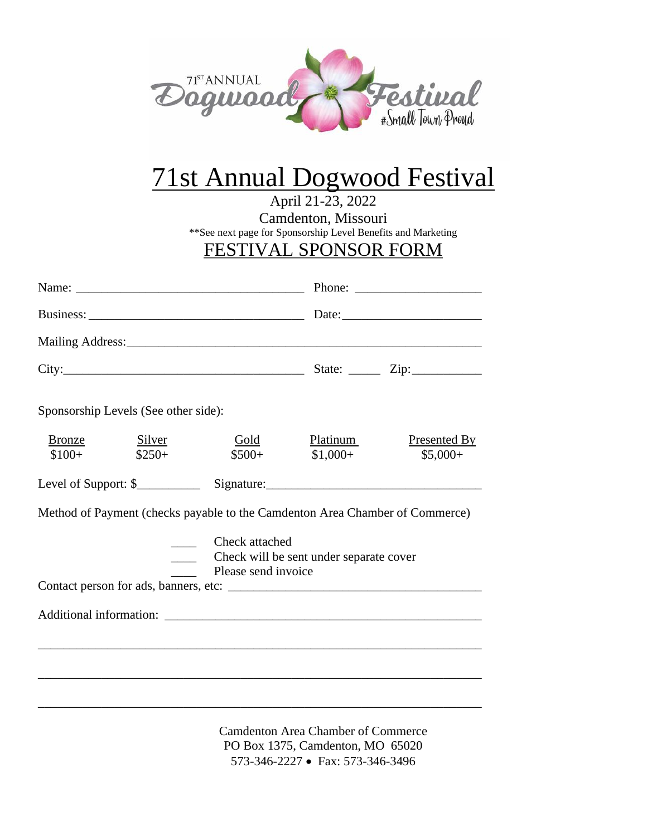

# 71st Annual Dogwood Festival

April 21-23, 2022

Camdenton, Missouri

\*\*See next page for Sponsorship Level Benefits and Marketing

### FESTIVAL SPONSOR FORM

|                   |                                      |                                       | Phone: $\frac{1}{\sqrt{1-\frac{1}{2}}\sqrt{1-\frac{1}{2}}\sqrt{1-\frac{1}{2}}\sqrt{1-\frac{1}{2}}\sqrt{1-\frac{1}{2}}\sqrt{1-\frac{1}{2}}\sqrt{1-\frac{1}{2}}\sqrt{1-\frac{1}{2}}\sqrt{1-\frac{1}{2}}\sqrt{1-\frac{1}{2}}\sqrt{1-\frac{1}{2}}\sqrt{1-\frac{1}{2}}\sqrt{1-\frac{1}{2}}\sqrt{1-\frac{1}{2}}\sqrt{1-\frac{1}{2}}\sqrt{1-\frac{1}{2}}\sqrt{1-\frac{1}{2}}\sqrt{1-\frac{1}{2}}\sqrt{1-\frac{1}{2$ |                                  |
|-------------------|--------------------------------------|---------------------------------------|--------------------------------------------------------------------------------------------------------------------------------------------------------------------------------------------------------------------------------------------------------------------------------------------------------------------------------------------------------------------------------------------------------------|----------------------------------|
|                   |                                      |                                       |                                                                                                                                                                                                                                                                                                                                                                                                              |                                  |
|                   |                                      |                                       |                                                                                                                                                                                                                                                                                                                                                                                                              |                                  |
|                   |                                      |                                       |                                                                                                                                                                                                                                                                                                                                                                                                              |                                  |
|                   | Sponsorship Levels (See other side): |                                       |                                                                                                                                                                                                                                                                                                                                                                                                              |                                  |
| Bronze<br>$$100+$ | <b>Silver</b><br>$$250+$             | Gold<br>$$500+$                       | Platinum<br>$$1,000+$                                                                                                                                                                                                                                                                                                                                                                                        | <b>Presented By</b><br>$$5,000+$ |
|                   |                                      |                                       |                                                                                                                                                                                                                                                                                                                                                                                                              |                                  |
|                   |                                      |                                       | Method of Payment (checks payable to the Camdenton Area Chamber of Commerce)                                                                                                                                                                                                                                                                                                                                 |                                  |
|                   |                                      | Check attached<br>Please send invoice | Check will be sent under separate cover                                                                                                                                                                                                                                                                                                                                                                      |                                  |
|                   |                                      |                                       |                                                                                                                                                                                                                                                                                                                                                                                                              |                                  |
|                   |                                      |                                       |                                                                                                                                                                                                                                                                                                                                                                                                              |                                  |
|                   |                                      |                                       |                                                                                                                                                                                                                                                                                                                                                                                                              |                                  |
|                   |                                      |                                       |                                                                                                                                                                                                                                                                                                                                                                                                              |                                  |
|                   |                                      |                                       |                                                                                                                                                                                                                                                                                                                                                                                                              |                                  |
|                   |                                      |                                       | $\sim$ $\sim$ $\sim$ $\sim$ $\sim$ $\sim$                                                                                                                                                                                                                                                                                                                                                                    |                                  |

Camdenton Area Chamber of Commerce PO Box 1375, Camdenton, MO 65020 573-346-2227 • Fax: 573-346-3496